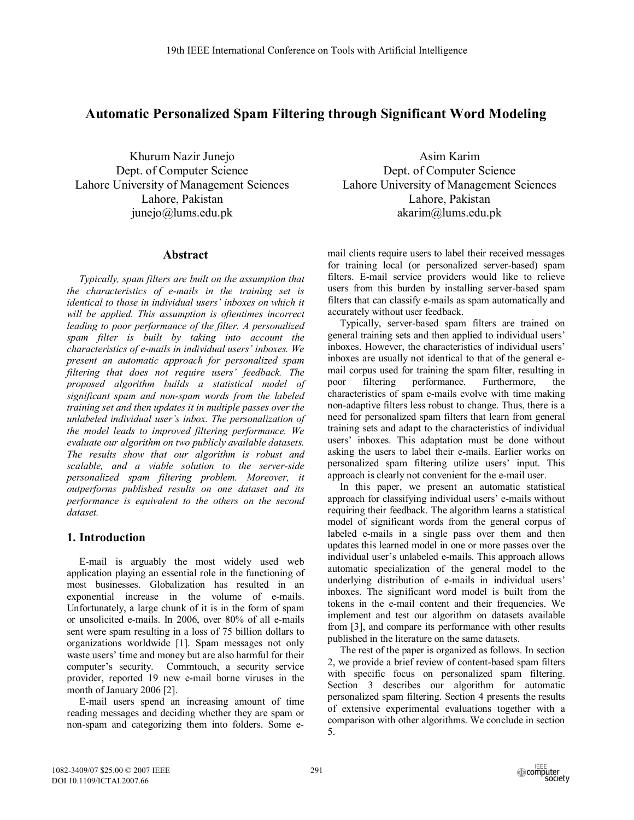# **Automatic Personalized Spam Filtering through Significant Word Modeling**

Khurum Nazir Junejo Dept. of Computer Science Lahore University of Management Sciences Lahore, Pakistan junejo@lums.edu.pk

## **Abstract**

*Typically, spam filters are built on the assumption that the characteristics of e-mails in the training set is identical to those in individual users' inboxes on which it will be applied. This assumption is oftentimes incorrect leading to poor performance of the filter. A personalized spam filter is built by taking into account the characteristics of e-mails in individual users' inboxes. We present an automatic approach for personalized spam filtering that does not require users' feedback. The proposed algorithm builds a statistical model of significant spam and non-spam words from the labeled training set and then updates it in multiple passes over the unlabeled individual user's inbox. The personalization of the model leads to improved filtering performance. We evaluate our algorithm on two publicly available datasets. The results show that our algorithm is robust and scalable, and a viable solution to the server-side personalized spam filtering problem. Moreover, it outperforms published results on one dataset and its performance is equivalent to the others on the second dataset.* 

# **1. Introduction**

E-mail is arguably the most widely used web application playing an essential role in the functioning of most businesses. Globalization has resulted in an exponential increase in the volume of e-mails. Unfortunately, a large chunk of it is in the form of spam or unsolicited e-mails. In 2006, over 80% of all e-mails sent were spam resulting in a loss of 75 billion dollars to organizations worldwide [1]. Spam messages not only waste users' time and money but are also harmful for their computer's security. Commtouch, a security service provider, reported 19 new e-mail borne viruses in the month of January 2006 [2].

E-mail users spend an increasing amount of time reading messages and deciding whether they are spam or non-spam and categorizing them into folders. Some e-

Asim Karim Dept. of Computer Science Lahore University of Management Sciences Lahore, Pakistan akarim@lums.edu.pk

mail clients require users to label their received messages for training local (or personalized server-based) spam filters. E-mail service providers would like to relieve users from this burden by installing server-based spam filters that can classify e-mails as spam automatically and accurately without user feedback.

Typically, server-based spam filters are trained on general training sets and then applied to individual users' inboxes. However, the characteristics of individual users' inboxes are usually not identical to that of the general email corpus used for training the spam filter, resulting in poor filtering performance. Furthermore, the characteristics of spam e-mails evolve with time making non-adaptive filters less robust to change. Thus, there is a need for personalized spam filters that learn from general training sets and adapt to the characteristics of individual users' inboxes. This adaptation must be done without asking the users to label their e-mails. Earlier works on personalized spam filtering utilize users' input. This approach is clearly not convenient for the e-mail user.

In this paper, we present an automatic statistical approach for classifying individual users' e-mails without requiring their feedback. The algorithm learns a statistical model of significant words from the general corpus of labeled e-mails in a single pass over them and then updates this learned model in one or more passes over the individual user's unlabeled e-mails. This approach allows automatic specialization of the general model to the underlying distribution of e-mails in individual users' inboxes. The significant word model is built from the tokens in the e-mail content and their frequencies. We implement and test our algorithm on datasets available from [3], and compare its performance with other results published in the literature on the same datasets.

The rest of the paper is organized as follows. In section 2, we provide a brief review of content-based spam filters with specific focus on personalized spam filtering. Section 3 describes our algorithm for automatic personalized spam filtering. Section 4 presents the results of extensive experimental evaluations together with a comparison with other algorithms. We conclude in section 5.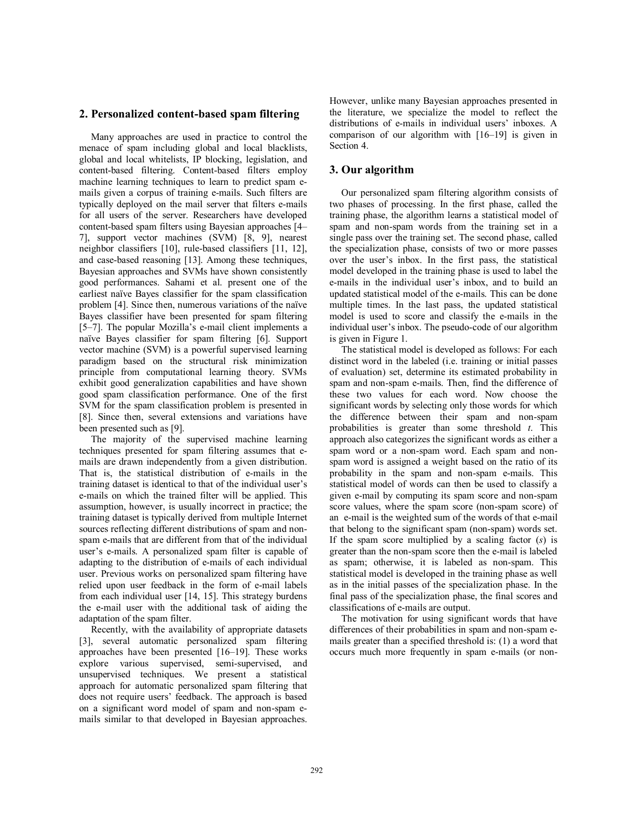### **2. Personalized content-based spam filtering**

Many approaches are used in practice to control the menace of spam including global and local blacklists, global and local whitelists, IP blocking, legislation, and content-based filtering. Content-based filters employ machine learning techniques to learn to predict spam emails given a corpus of training e-mails. Such filters are typically deployed on the mail server that filters e-mails for all users of the server. Researchers have developed content-based spam filters using Bayesian approaches [4– 7], support vector machines (SVM) [8, 9], nearest neighbor classifiers [10], rule-based classifiers [11, 12], and case-based reasoning [13]. Among these techniques, Bayesian approaches and SVMs have shown consistently good performances. Sahami et al. present one of the earliest naïve Bayes classifier for the spam classification problem [4]. Since then, numerous variations of the naïve Bayes classifier have been presented for spam filtering [5–7]. The popular Mozilla's e-mail client implements a naïve Bayes classifier for spam filtering [6]. Support vector machine (SVM) is a powerful supervised learning paradigm based on the structural risk minimization principle from computational learning theory. SVMs exhibit good generalization capabilities and have shown good spam classification performance. One of the first SVM for the spam classification problem is presented in [8]. Since then, several extensions and variations have been presented such as [9].

The majority of the supervised machine learning techniques presented for spam filtering assumes that emails are drawn independently from a given distribution. That is, the statistical distribution of e-mails in the training dataset is identical to that of the individual user's e-mails on which the trained filter will be applied. This assumption, however, is usually incorrect in practice; the training dataset is typically derived from multiple Internet sources reflecting different distributions of spam and nonspam e-mails that are different from that of the individual user's e-mails. A personalized spam filter is capable of adapting to the distribution of e-mails of each individual user. Previous works on personalized spam filtering have relied upon user feedback in the form of e-mail labels from each individual user [14, 15]. This strategy burdens the e-mail user with the additional task of aiding the adaptation of the spam filter.

Recently, with the availability of appropriate datasets [3], several automatic personalized spam filtering approaches have been presented [16–19]. These works explore various supervised, semi-supervised, and unsupervised techniques. We present a statistical approach for automatic personalized spam filtering that does not require users' feedback. The approach is based on a significant word model of spam and non-spam emails similar to that developed in Bayesian approaches. However, unlike many Bayesian approaches presented in the literature, we specialize the model to reflect the distributions of e-mails in individual users' inboxes. A comparison of our algorithm with [16–19] is given in Section 4.

### **3. Our algorithm**

Our personalized spam filtering algorithm consists of two phases of processing. In the first phase, called the training phase, the algorithm learns a statistical model of spam and non-spam words from the training set in a single pass over the training set. The second phase, called the specialization phase, consists of two or more passes over the user's inbox. In the first pass, the statistical model developed in the training phase is used to label the e-mails in the individual user's inbox, and to build an updated statistical model of the e-mails. This can be done multiple times. In the last pass, the updated statistical model is used to score and classify the e-mails in the individual user's inbox. The pseudo-code of our algorithm is given in Figure 1.

The statistical model is developed as follows: For each distinct word in the labeled (i.e. training or initial passes of evaluation) set, determine its estimated probability in spam and non-spam e-mails. Then, find the difference of these two values for each word. Now choose the significant words by selecting only those words for which the difference between their spam and non-spam probabilities is greater than some threshold *t*. This approach also categorizes the significant words as either a spam word or a non-spam word. Each spam and nonspam word is assigned a weight based on the ratio of its probability in the spam and non-spam e-mails. This statistical model of words can then be used to classify a given e-mail by computing its spam score and non-spam score values, where the spam score (non-spam score) of an e-mail is the weighted sum of the words of that e-mail that belong to the significant spam (non-spam) words set. If the spam score multiplied by a scaling factor (*s*) is greater than the non-spam score then the e-mail is labeled as spam; otherwise, it is labeled as non-spam. This statistical model is developed in the training phase as well as in the initial passes of the specialization phase. In the final pass of the specialization phase, the final scores and classifications of e-mails are output.

The motivation for using significant words that have differences of their probabilities in spam and non-spam emails greater than a specified threshold is: (1) a word that occurs much more frequently in spam e-mails (or non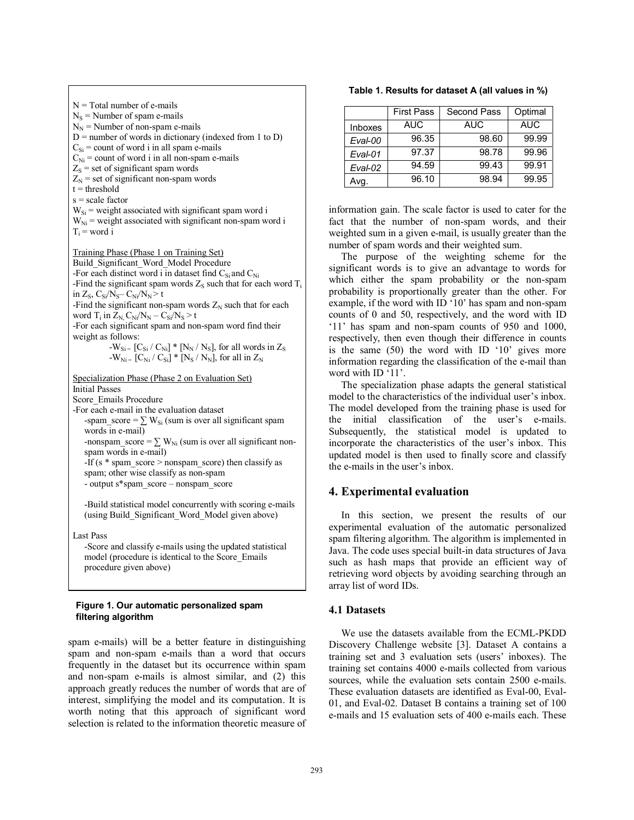$N = Total number of e-mails$  $N<sub>S</sub>$  = Number of spam e-mails  $N_N$  = Number of non-spam e-mails  $D$  = number of words in dictionary (indexed from 1 to D)  $C_{\text{Si}}$  = count of word i in all spam e-mails  $C_{\text{Ni}}$  = count of word i in all non-spam e-mails  $Z<sub>S</sub>$  = set of significant spam words  $Z_N$  = set of significant non-spam words  $t =$ threshold  $s = scale factor$  $W_{\text{Si}}$  = weight associated with significant spam word i  $W_{Ni}$  = weight associated with significant non-spam word i  $T_i$  = word i Training Phase (Phase 1 on Training Set) Build\_Significant\_Word\_Model Procedure -For each distinct word i in dataset find  $C_{Si}$  and  $C_{Ni}$ -Find the significant spam words  $Z_s$  such that for each word  $T_i$ in  $Z_S$ ,  $C_{Si}/N_S - C_{Ni}/N_N > t$ -Find the significant non-spam words  $Z_N$  such that for each word  $T_i$  in  $Z_N$ ,  $C_{Ni}/N_N - C_{Si}/N_S > t$ -For each significant spam and non-spam word find their weight as follows: - $W_{Si}$  = [C<sub>Si</sub> / C<sub>Ni</sub>] \* [N<sub>N</sub> / N<sub>S</sub>], for all words in Z<sub>S</sub>  $-W_{\text{Ni} =}$   $[C_{\text{Ni}} / C_{\text{Si}}] * [N_{\text{S}} / N_{\text{N}}]$ , for all in  $Z_{\text{N}}$ Specialization Phase (Phase 2 on Evaluation Set) Initial Passes Score\_Emails Procedure -For each e-mail in the evaluation dataset -spam\_score =  $\Sigma$  W<sub>Si</sub> (sum is over all significant spam words in e-mail) -nonspam score =  $\sum W_{Ni}$  (sum is over all significant nonspam words in e-mail) -If (s  $*$  spam\_score > nonspam\_score) then classify as spam; other wise classify as non-spam - output s\*spam\_score – nonspam\_score -Build statistical model concurrently with scoring e-mails (using Build\_Significant\_Word\_Model given above) Last Pass -Score and classify e-mails using the updated statistical model (procedure is identical to the Score\_Emails procedure given above)

#### **Figure 1. Our automatic personalized spam filtering algorithm**

spam e-mails) will be a better feature in distinguishing spam and non-spam e-mails than a word that occurs frequently in the dataset but its occurrence within spam and non-spam e-mails is almost similar, and (2) this approach greatly reduces the number of words that are of interest, simplifying the model and its computation. It is worth noting that this approach of significant word selection is related to the information theoretic measure of

**Table 1. Results for dataset A (all values in %)**

|                | <b>First Pass</b> | Second Pass | Optimal    |
|----------------|-------------------|-------------|------------|
| <b>Inboxes</b> | <b>AUC</b>        | <b>AUC</b>  | <b>AUC</b> |
| Eval-00        | 96.35             | 98.60       | 99.99      |
| Eval-01        | 97.37             | 98.78       | 99.96      |
| Eval-02        | 94.59             | 99.43       | 99.91      |
| Avq.           | 96.10             | 98.94       | 99.95      |

information gain. The scale factor is used to cater for the fact that the number of non-spam words, and their weighted sum in a given e-mail, is usually greater than the number of spam words and their weighted sum.

The purpose of the weighting scheme for the significant words is to give an advantage to words for which either the spam probability or the non-spam probability is proportionally greater than the other. For example, if the word with ID '10' has spam and non-spam counts of 0 and 50, respectively, and the word with ID '11' has spam and non-spam counts of 950 and 1000, respectively, then even though their difference in counts is the same (50) the word with ID '10' gives more information regarding the classification of the e-mail than word with ID '11'.

The specialization phase adapts the general statistical model to the characteristics of the individual user's inbox. The model developed from the training phase is used for the initial classification of the user's e-mails. Subsequently, the statistical model is updated to incorporate the characteristics of the user's inbox. This updated model is then used to finally score and classify the e-mails in the user's inbox.

# **4. Experimental evaluation**

In this section, we present the results of our experimental evaluation of the automatic personalized spam filtering algorithm. The algorithm is implemented in Java. The code uses special built-in data structures of Java such as hash maps that provide an efficient way of retrieving word objects by avoiding searching through an array list of word IDs.

## **4.1 Datasets**

We use the datasets available from the ECML-PKDD Discovery Challenge website [3]. Dataset A contains a training set and 3 evaluation sets (users' inboxes). The training set contains 4000 e-mails collected from various sources, while the evaluation sets contain 2500 e-mails. These evaluation datasets are identified as Eval-00, Eval-01, and Eval-02. Dataset B contains a training set of 100 e-mails and 15 evaluation sets of 400 e-mails each. These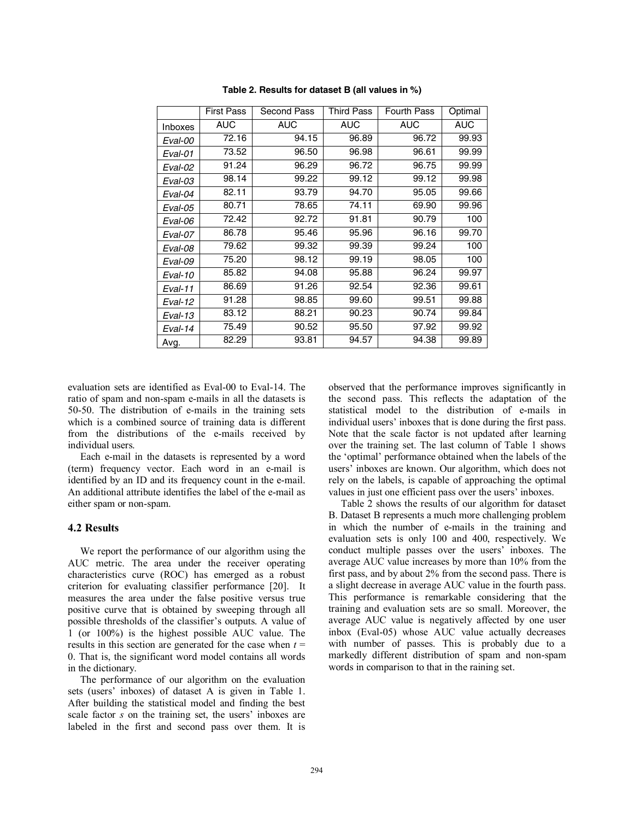|                | <b>First Pass</b> | Second Pass | Third Pass | <b>Fourth Pass</b> | Optimal    |
|----------------|-------------------|-------------|------------|--------------------|------------|
| <b>Inboxes</b> | <b>AUC</b>        | <b>AUC</b>  | <b>AUC</b> | <b>AUC</b>         | <b>AUC</b> |
| Eval-00        | 72.16             | 94.15       | 96.89      | 96.72              | 99.93      |
| Eval-01        | 73.52             | 96.50       | 96.98      | 96.61              | 99.99      |
| Eval-02        | 91.24             | 96.29       | 96.72      | 96.75              | 99.99      |
| Eval-03        | 98.14             | 99.22       | 99.12      | 99.12              | 99.98      |
| Eval-04        | 82.11             | 93.79       | 94.70      | 95.05              | 99.66      |
| Eval-05        | 80.71             | 78.65       | 74.11      | 69.90              | 99.96      |
| Eval-06        | 72.42             | 92.72       | 91.81      | 90.79              | 100        |
| Eval-07        | 86.78             | 95.46       | 95.96      | 96.16              | 99.70      |
| Eval-08        | 79.62             | 99.32       | 99.39      | 99.24              | 100        |
| Eval-09        | 75.20             | 98.12       | 99.19      | 98.05              | 100        |
| Eval-10        | 85.82             | 94.08       | 95.88      | 96.24              | 99.97      |
| Eval-11        | 86.69             | 91.26       | 92.54      | 92.36              | 99.61      |
| Eval-12        | 91.28             | 98.85       | 99.60      | 99.51              | 99.88      |
| Eval-13        | 83.12             | 88.21       | 90.23      | 90.74              | 99.84      |
| Eval-14        | 75.49             | 90.52       | 95.50      | 97.92              | 99.92      |
| Avg.           | 82.29             | 93.81       | 94.57      | 94.38              | 99.89      |

**Table 2. Results for dataset B (all values in %)**

evaluation sets are identified as Eval-00 to Eval-14. The ratio of spam and non-spam e-mails in all the datasets is 50-50. The distribution of e-mails in the training sets which is a combined source of training data is different from the distributions of the e-mails received by individual users.

Each e-mail in the datasets is represented by a word (term) frequency vector. Each word in an e-mail is identified by an ID and its frequency count in the e-mail. An additional attribute identifies the label of the e-mail as either spam or non-spam.

#### **4.2 Results**

We report the performance of our algorithm using the AUC metric. The area under the receiver operating characteristics curve (ROC) has emerged as a robust criterion for evaluating classifier performance [20]. It measures the area under the false positive versus true positive curve that is obtained by sweeping through all possible thresholds of the classifier's outputs. A value of 1 (or 100%) is the highest possible AUC value. The results in this section are generated for the case when  $t =$ 0. That is, the significant word model contains all words in the dictionary.

The performance of our algorithm on the evaluation sets (users' inboxes) of dataset A is given in Table 1. After building the statistical model and finding the best scale factor *s* on the training set, the users' inboxes are labeled in the first and second pass over them. It is observed that the performance improves significantly in the second pass. This reflects the adaptation of the statistical model to the distribution of e-mails in individual users' inboxes that is done during the first pass. Note that the scale factor is not updated after learning over the training set. The last column of Table 1 shows the 'optimal' performance obtained when the labels of the users' inboxes are known. Our algorithm, which does not rely on the labels, is capable of approaching the optimal values in just one efficient pass over the users' inboxes.

Table 2 shows the results of our algorithm for dataset B. Dataset B represents a much more challenging problem in which the number of e-mails in the training and evaluation sets is only 100 and 400, respectively. We conduct multiple passes over the users' inboxes. The average AUC value increases by more than 10% from the first pass, and by about 2% from the second pass. There is a slight decrease in average AUC value in the fourth pass. This performance is remarkable considering that the training and evaluation sets are so small. Moreover, the average AUC value is negatively affected by one user inbox (Eval-05) whose AUC value actually decreases with number of passes. This is probably due to a markedly different distribution of spam and non-spam words in comparison to that in the raining set.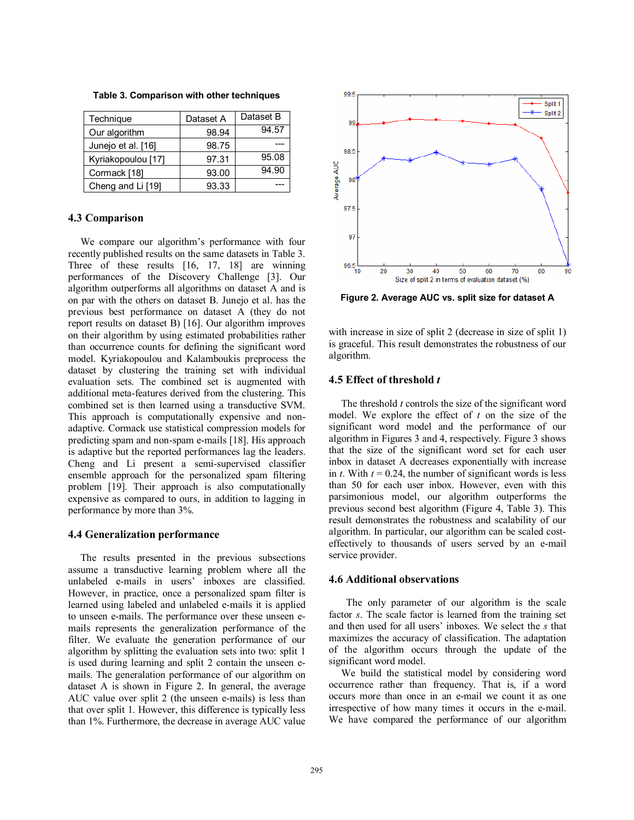| Technique          | Dataset A | Dataset B |  |
|--------------------|-----------|-----------|--|
| Our algorithm      | 98.94     | 94.57     |  |
| Junejo et al. [16] | 98.75     |           |  |
| Kyriakopoulou [17] | 97.31     | 95.08     |  |
| Cormack [18]       | 93.00     | 94.90     |  |
| Cheng and Li [19]  | 93.33     |           |  |

**Table 3. Comparison with other techniques**

#### **4.3 Comparison**

We compare our algorithm's performance with four recently published results on the same datasets in Table 3. Three of these results [16, 17, 18] are winning performances of the Discovery Challenge [3]. Our algorithm outperforms all algorithms on dataset A and is on par with the others on dataset B. Junejo et al. has the previous best performance on dataset A (they do not report results on dataset B) [16]. Our algorithm improves on their algorithm by using estimated probabilities rather than occurrence counts for defining the significant word model. Kyriakopoulou and Kalamboukis preprocess the dataset by clustering the training set with individual evaluation sets. The combined set is augmented with additional meta-features derived from the clustering. This combined set is then learned using a transductive SVM. This approach is computationally expensive and nonadaptive. Cormack use statistical compression models for predicting spam and non-spam e-mails [18]. His approach is adaptive but the reported performances lag the leaders. Cheng and Li present a semi-supervised classifier ensemble approach for the personalized spam filtering problem [19]. Their approach is also computationally expensive as compared to ours, in addition to lagging in performance by more than 3%.

#### **4.4 Generalization performance**

The results presented in the previous subsections assume a transductive learning problem where all the unlabeled e-mails in users' inboxes are classified. However, in practice, once a personalized spam filter is learned using labeled and unlabeled e-mails it is applied to unseen e-mails. The performance over these unseen emails represents the generalization performance of the filter. We evaluate the generation performance of our algorithm by splitting the evaluation sets into two: split 1 is used during learning and split 2 contain the unseen emails. The generalation performance of our algorithm on dataset A is shown in Figure 2. In general, the average AUC value over split 2 (the unseen e-mails) is less than that over split 1. However, this difference is typically less than 1%. Furthermore, the decrease in average AUC value



**Figure 2. Average AUC vs. split size for dataset A** 

with increase in size of split 2 (decrease in size of split 1) is graceful. This result demonstrates the robustness of our algorithm.

### **4.5 Effect of threshold** *t*

The threshold *t* controls the size of the significant word model. We explore the effect of *t* on the size of the significant word model and the performance of our algorithm in Figures 3 and 4, respectively. Figure 3 shows that the size of the significant word set for each user inbox in dataset A decreases exponentially with increase in *t*. With  $t = 0.24$ , the number of significant words is less than 50 for each user inbox. However, even with this parsimonious model, our algorithm outperforms the previous second best algorithm (Figure 4, Table 3). This result demonstrates the robustness and scalability of our algorithm. In particular, our algorithm can be scaled costeffectively to thousands of users served by an e-mail service provider.

#### **4.6 Additional observations**

 The only parameter of our algorithm is the scale factor *s*. The scale factor is learned from the training set and then used for all users' inboxes. We select the *s* that maximizes the accuracy of classification. The adaptation of the algorithm occurs through the update of the significant word model.

We build the statistical model by considering word occurrence rather than frequency. That is, if a word occurs more than once in an e-mail we count it as one irrespective of how many times it occurs in the e-mail. We have compared the performance of our algorithm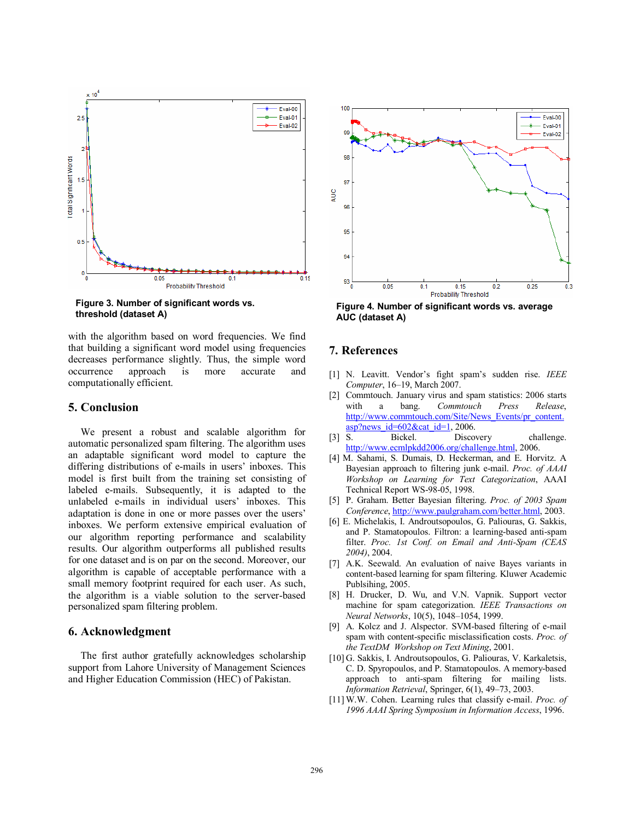

**Figure 3. Number of significant words vs. threshold (dataset A)** 

with the algorithm based on word frequencies. We find that building a significant word model using frequencies decreases performance slightly. Thus, the simple word occurrence approach is more accurate and computationally efficient.

### **5. Conclusion**

We present a robust and scalable algorithm for automatic personalized spam filtering. The algorithm uses an adaptable significant word model to capture the differing distributions of e-mails in users' inboxes. This model is first built from the training set consisting of labeled e-mails. Subsequently, it is adapted to the unlabeled e-mails in individual users' inboxes. This adaptation is done in one or more passes over the users' inboxes. We perform extensive empirical evaluation of our algorithm reporting performance and scalability results. Our algorithm outperforms all published results for one dataset and is on par on the second. Moreover, our algorithm is capable of acceptable performance with a small memory footprint required for each user. As such, the algorithm is a viable solution to the server-based personalized spam filtering problem.

## **6. Acknowledgment**

The first author gratefully acknowledges scholarship support from Lahore University of Management Sciences and Higher Education Commission (HEC) of Pakistan.



**Figure 4. Number of significant words vs. average AUC (dataset A)** 

### **7. References**

- [1] N. Leavitt. Vendor's fight spam's sudden rise. *IEEE Computer*, 16–19, March 2007.
- [2] Commtouch. January virus and spam statistics: 2006 starts with a bang. *Commtouch Press Release*, http://www.commtouch.com/Site/News\_Events/pr\_content.  $\frac{\text{asp?news_id}=602\&\text{cat_id}=1}{2006}.$
- [3] S. Bickel. Discovery challenge. http://www.ecmlpkdd2006.org/challenge.html, 2006.
- [4] M. Sahami, S. Dumais, D. Heckerman, and E. Horvitz. A Bayesian approach to filtering junk e-mail. *Proc. of AAAI Workshop on Learning for Text Categorization*, AAAI Technical Report WS-98-05, 1998.
- [5] P. Graham. Better Bayesian filtering. *Proc. of 2003 Spam Conference*, http://www.paulgraham.com/better.html, 2003.
- [6] E. Michelakis, I. Androutsopoulos, G. Paliouras, G. Sakkis, and P. Stamatopoulos. Filtron: a learning-based anti-spam filter. *Proc. 1st Conf. on Email and Anti-Spam (CEAS 2004)*, 2004.
- [7] A.K. Seewald. An evaluation of naive Bayes variants in content-based learning for spam filtering. Kluwer Academic Publsihing, 2005.
- [8] H. Drucker, D. Wu, and V.N. Vapnik. Support vector machine for spam categorization. *IEEE Transactions on Neural Networks*, 10(5), 1048–1054, 1999.
- [9] A. Kolcz and J. Alspector. SVM-based filtering of e-mail spam with content-specific misclassification costs. *Proc. of the TextDM Workshop on Text Mining*, 2001.
- [10] G. Sakkis, I. Androutsopoulos, G. Paliouras, V. Karkaletsis, C. D. Spyropoulos, and P. Stamatopoulos. A memory-based approach to anti-spam filtering for mailing lists. *Information Retrieval*, Springer, 6(1), 49–73, 2003.
- [11] W.W. Cohen. Learning rules that classify e-mail. *Proc. of 1996 AAAI Spring Symposium in Information Access*, 1996.